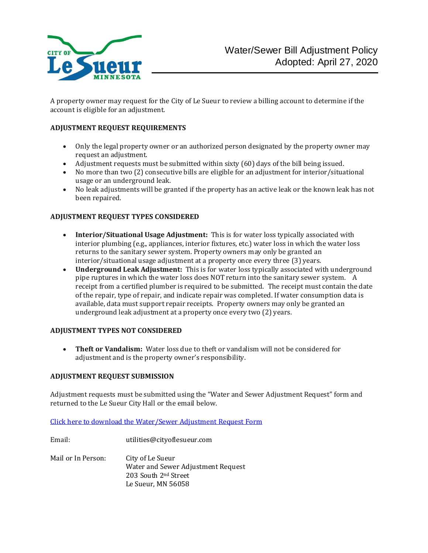

A property owner may request for the City of Le Sueur to review a billing account to determine if the account is eligible for an adjustment.

### **ADJUSTMENT REQUEST REQUIREMENTS**

- Only the legal property owner or an authorized person designated by the property owner may request an adjustment.
- Adjustment requests must be submitted within sixty (60) days of the bill being issued.
- No more than two (2) consecutive bills are eligible for an adjustment for interior/situational usage or an underground leak.
- No leak adjustments will be granted if the property has an active leak or the known leak has not been repaired.

#### **ADJUSTMENT REQUEST TYPES CONSIDERED**

- **Interior/Situational Usage Adjustment:** This is for water loss typically associated with interior plumbing (e.g., appliances, interior fixtures, etc.) water loss in which the water loss returns to the sanitary sewer system. Property owners may only be granted an interior/situational usage adjustment at a property once every three (3) years.
- **Underground Leak Adjustment:** This is for water loss typically associated with underground pipe ruptures in which the water loss does NOT return into the sanitary sewer system. A receipt from a certified plumber is required to be submitted. The receipt must contain the date of the repair, type of repair, and indicate repair was completed. If water consumption data is available, data must support repair receipts. Property owners may only be granted an underground leak adjustment at a property once every two (2) years.

#### **ADJUSTMENT TYPES NOT CONSIDERED**

• **Theft or Vandalism:** Water loss due to theft or vandalism will not be considered for adjustment and is the property owner's responsibility.

#### **ADJUSTMENT REQUEST SUBMISSION**

Adjustment requests must be submitted using the "Water and Sewer Adjustment Request" form and returned to the Le Sueur City Hall or the email below.

[Click here to download the Water/Sewer Adjustment](https://www.cityoflesueur.com/DocumentCenter/View/2565/Water-Sewer-Adjustment-Request-Form-PDF) Request Form

Email: utilities@cityoflesueur.com Mail or In Person: City of Le Sueur Water and Sewer Adjustment Request 203 South 2nd Street Le Sueur, MN 56058